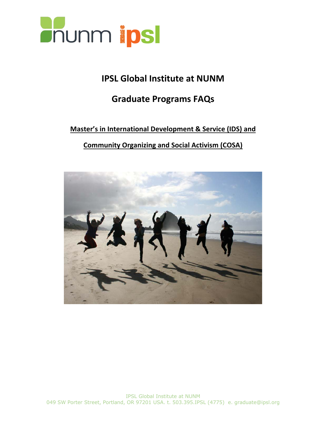

# **IPSL Global Institute at NUNM**

# **Graduate Programs FAQs**

# **Master's in International Development & Service (IDS) and**

# **Community Organizing and Social Activism (COSA)**

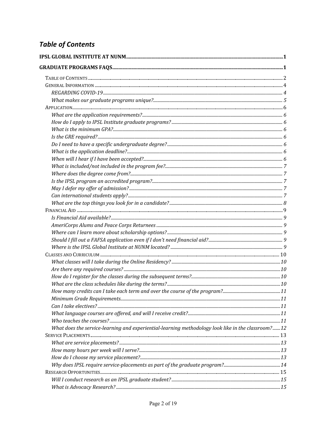# **Table of Contents**

| What does the service-learning and experiential-learning methodology look like in the classroom?12 |  |
|----------------------------------------------------------------------------------------------------|--|
|                                                                                                    |  |
|                                                                                                    |  |
|                                                                                                    |  |
|                                                                                                    |  |
|                                                                                                    |  |
|                                                                                                    |  |
|                                                                                                    |  |
|                                                                                                    |  |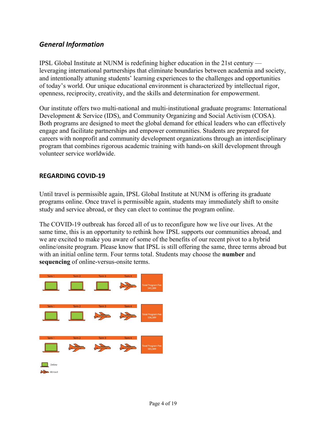### *General Information*

IPSL Global Institute at NUNM is redefining higher education in the 21st century leveraging international partnerships that eliminate boundaries between academia and society, and intentionally attuning students' learning experiences to the challenges and opportunities of today's world. Our unique educational environment is characterized by intellectual rigor, openness, reciprocity, creativity, and the skills and determination for empowerment.

Our institute offers two multi-national and multi-institutional graduate programs: International Development & Service (IDS), and Community Organizing and Social Activism (COSA). Both programs are designed to meet the global demand for ethical leaders who can effectively engage and facilitate partnerships and empower communities. Students are prepared for careers with nonprofit and community development organizations through an interdisciplinary program that combines rigorous academic training with hands-on skill development through volunteer service worldwide.

#### **REGARDING COVID-19**

Until travel is permissible again, IPSL Global Institute at NUNM is offering its graduate programs online. Once travel is permissible again, students may immediately shift to onsite study and service abroad, or they can elect to continue the program online.

The COVID-19 outbreak has forced all of us to reconfigure how we live our lives. At the same time, this is an opportunity to rethink how IPSL supports our communities abroad, and we are excited to make you aware of some of the benefits of our recent pivot to a hybrid online/onsite program. Please know that IPSL is still offering the same, three terms abroad but with an initial online term. Four terms total. Students may choose the **number** and **sequencing** of online-versus-onsite terms.

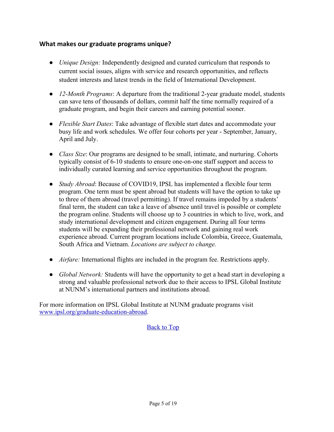#### **What makes our graduate programs unique?**

- *Unique Design:* Independently designed and curated curriculum that responds to current social issues, aligns with service and research opportunities, and reflects student interests and latest trends in the field of International Development.
- *12-Month Programs*: A departure from the traditional 2-year graduate model, students can save tens of thousands of dollars, commit half the time normally required of a graduate program, and begin their careers and earning potential sooner.
- *Flexible Start Dates*: Take advantage of flexible start dates and accommodate your busy life and work schedules. We offer four cohorts per year - September, January, April and July.
- *Class Size*: Our programs are designed to be small, intimate, and nurturing. Cohorts typically consist of 6-10 students to ensure one-on-one staff support and access to individually curated learning and service opportunities throughout the program.
- *Study Abroad*: Because of COVID19, IPSL has implemented a flexible four term program. One term must be spent abroad but students will have the option to take up to three of them abroad (travel permitting). If travel remains impeded by a students' final term, the student can take a leave of absence until travel is possible or complete the program online. Students will choose up to 3 countries in which to live, work, and study international development and citizen engagement. During all four terms students will be expanding their professional network and gaining real work experience abroad. Current program locations include Colombia, Greece, Guatemala, South Africa and Vietnam. *Locations are subject to change.*
- *Airfare:* International flights are included in the program fee. Restrictions apply.
- *Global Network:* Students will have the opportunity to get a head start in developing a strong and valuable professional network due to their access to IPSL Global Institute at NUNM's international partners and institutions abroad.

For more information on IPSL Global Institute at NUNM graduate programs visit www.ipsl.org/graduate-education-abroad.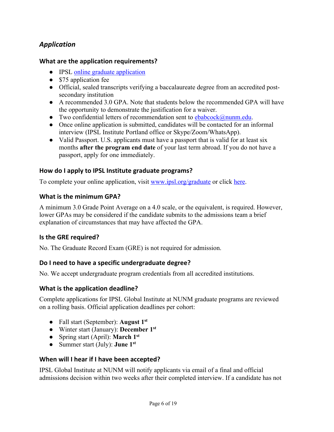# *Application*

#### **What are the application requirements?**

- IPSL online graduate application
- \$75 application fee
- Official, sealed transcripts verifying a baccalaureate degree from an accredited postsecondary institution
- A recommended 3.0 GPA. Note that students below the recommended GPA will have the opportunity to demonstrate the justification for a waiver.
- Two confidential letters of recommendation sent to  $ebabcock@num.edu$ .
- Once online application is submitted, candidates will be contacted for an informal interview (IPSL Institute Portland office or Skype/Zoom/WhatsApp).
- Valid Passport. U.S. applicants must have a passport that is valid for at least six months **after the program end date** of your last term abroad. If you do not have a passport, apply for one immediately.

#### **How do I apply to IPSL Institute graduate programs?**

To complete your online application, visit www.ipsl.org/graduate or click here.

#### **What is the minimum GPA?**

A minimum 3.0 Grade Point Average on a 4.0 scale, or the equivalent, is required. However, lower GPAs may be considered if the candidate submits to the admissions team a brief explanation of circumstances that may have affected the GPA.

#### **Is the GRE required?**

No. The Graduate Record Exam (GRE) is not required for admission.

#### **Do I need to have a specific undergraduate degree?**

No. We accept undergraduate program credentials from all accredited institutions.

#### **What is the application deadline?**

Complete applications for IPSL Global Institute at NUNM graduate programs are reviewed on a rolling basis. Official application deadlines per cohort:

- Fall start (September): **August 1st**
- Winter start (January): **December 1st**
- Spring start (April): **March 1st**
- Summer start (July): **June 1st**

#### **When will I hear if I have been accepted?**

IPSL Global Institute at NUNM will notify applicants via email of a final and official admissions decision within two weeks after their completed interview. If a candidate has not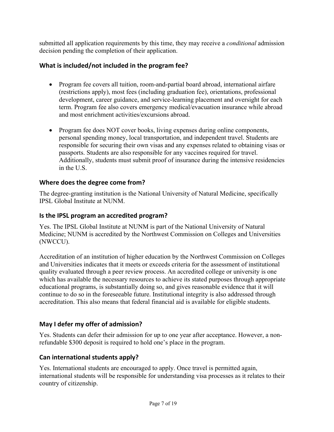submitted all application requirements by this time, they may receive a *conditional* admission decision pending the completion of their application.

### **What is included/not included in the program fee?**

- Program fee covers all tuition, room-and-partial board abroad, international airfare (restrictions apply), most fees (including graduation fee), orientations, professional development, career guidance, and service-learning placement and oversight for each term. Program fee also covers emergency medical/evacuation insurance while abroad and most enrichment activities/excursions abroad.
- Program fee does NOT cover books, living expenses during online components, personal spending money, local transportation, and independent travel. Students are responsible for securing their own visas and any expenses related to obtaining visas or passports. Students are also responsible for any vaccines required for travel. Additionally, students must submit proof of insurance during the intensive residencies in the U.S.

### **Where does the degree come from?**

The degree-granting institution is the National University of Natural Medicine, specifically IPSL Global Institute at NUNM.

#### **Is the IPSL program an accredited program?**

Yes. The IPSL Global Institute at NUNM is part of the National University of Natural Medicine; NUNM is accredited by the Northwest Commission on Colleges and Universities (NWCCU).

Accreditation of an institution of higher education by the Northwest Commission on Colleges and Universities indicates that it meets or exceeds criteria for the assessment of institutional quality evaluated through a peer review process. An accredited college or university is one which has available the necessary resources to achieve its stated purposes through appropriate educational programs, is substantially doing so, and gives reasonable evidence that it will continue to do so in the foreseeable future. Institutional integrity is also addressed through accreditation. This also means that federal financial aid is available for eligible students.

## **May I defer my offer of admission?**

Yes. Students can defer their admission for up to one year after acceptance. However, a nonrefundable \$300 deposit is required to hold one's place in the program.

## **Can international students apply?**

Yes. International students are encouraged to apply. Once travel is permitted again, international students will be responsible for understanding visa processes as it relates to their country of citizenship.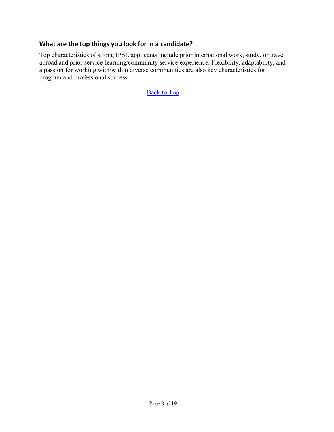#### **What are the top things you look for in a candidate?**

Top characteristics of strong IPSL applicants include prior international work, study, or travel abroad and prior service-learning/community service experience. Flexibility, adaptability, and a passion for working with/within diverse communities are also key characteristics for program and professional success.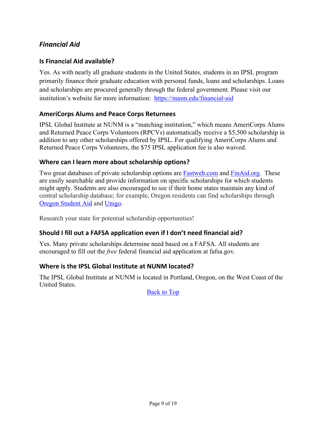# *Financial Aid*

#### **Is Financial Aid available?**

Yes. As with nearly all graduate students in the United States, students in an IPSL program primarily finance their graduate education with personal funds, loans and scholarships. Loans and scholarships are procured generally through the federal government. Please visit our institution's website for more information: https://nunm.edu/financial-aid

#### **AmeriCorps Alums and Peace Corps Returnees**

IPSL Global Institute at NUNM is a "matching institution," which means AmeriCorps Alums and Returned Peace Corps Volunteers (RPCVs) automatically receive a \$5,500 scholarship in addition to any other scholarships offered by IPSL. For qualifying AmeriCorps Alums and Returned Peace Corps Volunteers, the \$75 IPSL application fee is also waived.

#### **Where can I learn more about scholarship options?**

Two great databases of private scholarship options are Fastweb.com and FinAid.org. These are easily searchable and provide information on specific scholarships for which students might apply. Students are also encouraged to see if their home states maintain any kind of central scholarship database; for example, Oregon residents can find scholarships through Oregon Student Aid and Unigo.

Research your state for potential scholarship opportunities!

#### **Should I fill out a FAFSA application even if I don't need financial aid?**

Yes. Many private scholarships determine need based on a FAFSA. All students are encouraged to fill out the *free* federal financial aid application at fafsa.gov.

#### **Where is the IPSL Global Institute at NUNM located?**

The IPSL Global Institute at NUNM is located in Portland, Oregon, on the West Coast of the United States.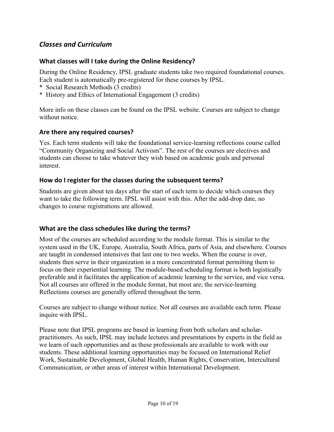## *Classes and Curriculum*

#### **What classes will I take during the Online Residency?**

During the Online Residency, IPSL graduate students take two required foundational courses. Each student is automatically pre-registered for these courses by IPSL.

- \* Social Research Methods (3 credits)
- \* History and Ethics of International Engagement (3 credits)

More info on these classes can be found on the IPSL website. Courses are subject to change without notice.

#### **Are there any required courses?**

Yes. Each term students will take the foundational service-learning reflections course called "Community Organizing and Social Activism". The rest of the courses are electives and students can choose to take whatever they wish based on academic goals and personal interest.

#### **How do I register for the classes during the subsequent terms?**

Students are given about ten days after the start of each term to decide which courses they want to take the following term. IPSL will assist with this. After the add-drop date, no changes to course registrations are allowed.

#### **What are the class schedules like during the terms?**

Most of the courses are scheduled according to the module format. This is similar to the system used in the UK, Europe, Australia, South Africa, parts of Asia, and elsewhere. Courses are taught in condensed intensives that last one to two weeks. When the course is over, students then serve in their organization in a more concentrated format permitting them to focus on their experiential learning. The module-based scheduling format is both logistically preferable and it facilitates the application of academic learning to the service, and vice versa. Not all courses are offered in the module format, but most are; the service-learning Reflections courses are generally offered throughout the term.

Courses are subject to change without notice. Not all courses are available each term. Please inquire with IPSL.

Please note that IPSL programs are based in learning from both scholars and scholarpractitioners. As such, IPSL may include lectures and presentations by experts in the field as we learn of such opportunities and as these professionals are available to work with our students. These additional learning opportunities may be focused on International Relief Work, Sustainable Development, Global Health, Human Rights, Conservation, Intercultural Communication, or other areas of interest within International Development.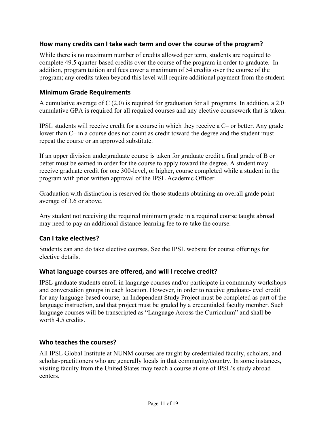#### **How many credits can I take each term and over the course of the program?**

While there is no maximum number of credits allowed per term, students are required to complete 49.5 quarter-based credits over the course of the program in order to graduate. In addition, program tuition and fees cover a maximum of 54 credits over the course of the program; any credits taken beyond this level will require additional payment from the student.

#### **Minimum Grade Requirements**

A cumulative average of C (2.0) is required for graduation for all programs. In addition, a 2.0 cumulative GPA is required for all required courses and any elective coursework that is taken.

IPSL students will receive credit for a course in which they receive a C– or better. Any grade lower than C– in a course does not count as credit toward the degree and the student must repeat the course or an approved substitute.

If an upper division undergraduate course is taken for graduate credit a final grade of B or better must be earned in order for the course to apply toward the degree. A student may receive graduate credit for one 300-level, or higher, course completed while a student in the program with prior written approval of the IPSL Academic Officer.

Graduation with distinction is reserved for those students obtaining an overall grade point average of 3.6 or above.

Any student not receiving the required minimum grade in a required course taught abroad may need to pay an additional distance-learning fee to re-take the course.

#### **Can I take electives?**

Students can and do take elective courses. See the IPSL website for course offerings for elective details.

#### **What language courses are offered, and will I receive credit?**

IPSL graduate students enroll in language courses and/or participate in community workshops and conversation groups in each location. However, in order to receive graduate-level credit for any language-based course, an Independent Study Project must be completed as part of the language instruction, and that project must be graded by a credentialed faculty member. Such language courses will be transcripted as "Language Across the Curriculum" and shall be worth 4.5 credits.

#### **Who teaches the courses?**

All IPSL Global Institute at NUNM courses are taught by credentialed faculty, scholars, and scholar-practitioners who are generally locals in that community/country. In some instances, visiting faculty from the United States may teach a course at one of IPSL's study abroad centers.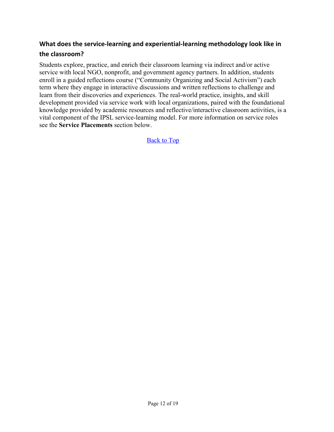# **What does the service-learning and experiential-learning methodology look like in the classroom?**

Students explore, practice, and enrich their classroom learning via indirect and/or active service with local NGO, nonprofit, and government agency partners. In addition, students enroll in a guided reflections course ("Community Organizing and Social Activism") each term where they engage in interactive discussions and written reflections to challenge and learn from their discoveries and experiences. The real-world practice, insights, and skill development provided via service work with local organizations, paired with the foundational knowledge provided by academic resources and reflective/interactive classroom activities, is a vital component of the IPSL service-learning model. For more information on service roles see the **Service Placements** section below.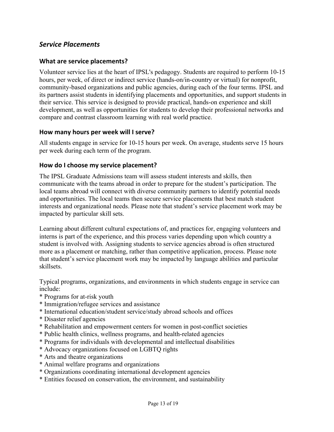#### *Service Placements*

#### **What are service placements?**

Volunteer service lies at the heart of IPSL's pedagogy. Students are required to perform 10-15 hours, per week, of direct or indirect service (hands-on/in-country or virtual) for nonprofit, community-based organizations and public agencies, during each of the four terms. IPSL and its partners assist students in identifying placements and opportunities, and support students in their service. This service is designed to provide practical, hands-on experience and skill development, as well as opportunities for students to develop their professional networks and compare and contrast classroom learning with real world practice.

#### **How many hours per week will I serve?**

All students engage in service for 10-15 hours per week. On average, students serve 15 hours per week during each term of the program.

#### **How do I choose my service placement?**

The IPSL Graduate Admissions team will assess student interests and skills, then communicate with the teams abroad in order to prepare for the student's participation. The local teams abroad will connect with diverse community partners to identify potential needs and opportunities. The local teams then secure service placements that best match student interests and organizational needs. Please note that student's service placement work may be impacted by particular skill sets.

Learning about different cultural expectations of, and practices for, engaging volunteers and interns is part of the experience, and this process varies depending upon which country a student is involved with. Assigning students to service agencies abroad is often structured more as a placement or matching, rather than competitive application, process. Please note that student's service placement work may be impacted by language abilities and particular skillsets.

Typical programs, organizations, and environments in which students engage in service can include:

- \* Programs for at-risk youth
- \* Immigration/refugee services and assistance
- \* International education/student service/study abroad schools and offices
- \* Disaster relief agencies
- \* Rehabilitation and empowerment centers for women in post-conflict societies
- \* Public health clinics, wellness programs, and health-related agencies
- \* Programs for individuals with developmental and intellectual disabilities
- \* Advocacy organizations focused on LGBTQ rights
- \* Arts and theatre organizations
- \* Animal welfare programs and organizations
- \* Organizations coordinating international development agencies
- \* Entities focused on conservation, the environment, and sustainability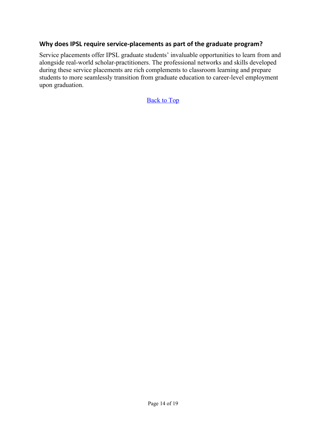#### **Why does IPSL require service-placements as part of the graduate program?**

Service placements offer IPSL graduate students' invaluable opportunities to learn from and alongside real-world scholar-practitioners. The professional networks and skills developed during these service placements are rich complements to classroom learning and prepare students to more seamlessly transition from graduate education to career-level employment upon graduation.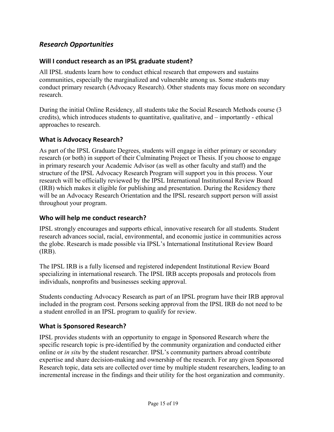## *Research Opportunities*

#### **Will I conduct research as an IPSL graduate student?**

All IPSL students learn how to conduct ethical research that empowers and sustains communities, especially the marginalized and vulnerable among us. Some students may conduct primary research (Advocacy Research). Other students may focus more on secondary research.

During the initial Online Residency, all students take the Social Research Methods course (3 credits), which introduces students to quantitative, qualitative, and – importantly - ethical approaches to research.

#### **What is Advocacy Research?**

As part of the IPSL Graduate Degrees, students will engage in either primary or secondary research (or both) in support of their Culminating Project or Thesis. If you choose to engage in primary research your Academic Advisor (as well as other faculty and staff) and the structure of the IPSL Advocacy Research Program will support you in this process. Your research will be officially reviewed by the IPSL International Institutional Review Board (IRB) which makes it eligible for publishing and presentation. During the Residency there will be an Advocacy Research Orientation and the IPSL research support person will assist throughout your program.

#### **Who will help me conduct research?**

IPSL strongly encourages and supports ethical, innovative research for all students. Student research advances social, racial, environmental, and economic justice in communities across the globe. Research is made possible via IPSL's International Institutional Review Board (IRB).

The IPSL IRB is a fully licensed and registered independent Institutional Review Board specializing in international research. The IPSL IRB accepts proposals and protocols from individuals, nonprofits and businesses seeking approval.

Students conducting Advocacy Research as part of an IPSL program have their IRB approval included in the program cost. Persons seeking approval from the IPSL IRB do not need to be a student enrolled in an IPSL program to qualify for review.

#### **What is Sponsored Research?**

IPSL provides students with an opportunity to engage in Sponsored Research where the specific research topic is pre-identified by the community organization and conducted either online or *in situ* by the student researcher. IPSL's community partners abroad contribute expertise and share decision-making and ownership of the research. For any given Sponsored Research topic, data sets are collected over time by multiple student researchers, leading to an incremental increase in the findings and their utility for the host organization and community.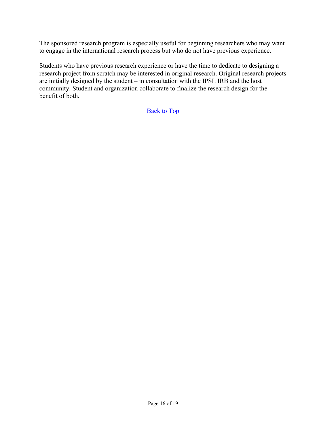The sponsored research program is especially useful for beginning researchers who may want to engage in the international research process but who do not have previous experience.

Students who have previous research experience or have the time to dedicate to designing a research project from scratch may be interested in original research. Original research projects are initially designed by the student – in consultation with the IPSL IRB and the host community. Student and organization collaborate to finalize the research design for the benefit of both.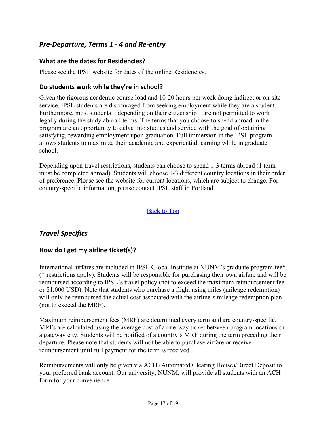## *Pre-Departure, Terms 1 - 4 and Re-entry*

#### **What are the dates for Residencies?**

Please see the IPSL website for dates of the online Residencies.

#### **Do students work while they're in school?**

Given the rigorous academic course load and 10-20 hours per week doing indirect or on-site service, IPSL students are discouraged from seeking employment while they are a student. Furthermore, most students – depending on their citizenship – are not permitted to work legally during the study abroad terms. The terms that you choose to spend abroad in the program are an opportunity to delve into studies and service with the goal of obtaining satisfying, rewarding employment upon graduation. Full immersion in the IPSL program allows students to maximize their academic and experiential learning while in graduate school.

Depending upon travel restrictions, students can choose to spend 1-3 terms abroad (1 term must be completed abroad). Students will choose 1-3 different country locations in their order of preference. Please see the website for current locations, which are subject to change. For country-specific information, please contact IPSL staff in Portland.

#### Back to Top

## *Travel Specifics*

#### **How do I get my airline ticket(s)?**

International airfares are included in IPSL Global Institute at NUNM's graduate program fee\* (\* restrictions apply). Students will be responsible for purchasing their own airfare and will be reimbursed according to IPSL's travel policy (not to exceed the maximum reimbursement fee or \$1,000 USD). Note that students who purchase a flight using miles (mileage redemption) will only be reimbursed the actual cost associated with the airline's mileage redemption plan (not to exceed the MRF).

Maximum reimbursement fees (MRF) are determined every term and are country-specific. MRFs are calculated using the average cost of a one-way ticket between program locations or a gateway city. Students will be notified of a country's MRF during the term preceding their departure. Please note that students will not be able to purchase airfare or receive reimbursement until full payment for the term is received.

Reimbursements will only be given via ACH (Automated Clearing House)/Direct Deposit to your preferred bank account. Our university, NUNM, will provide all students with an ACH form for your convenience.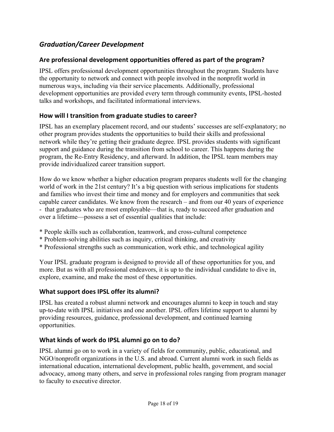# *Graduation/Career Development*

#### **Are professional development opportunities offered as part of the program?**

IPSL offers professional development opportunities throughout the program. Students have the opportunity to network and connect with people involved in the nonprofit world in numerous ways, including via their service placements. Additionally, professional development opportunities are provided every term through community events, IPSL-hosted talks and workshops, and facilitated informational interviews.

#### **How will I transition from graduate studies to career?**

IPSL has an exemplary placement record, and our students' successes are self-explanatory; no other program provides students the opportunities to build their skills and professional network while they're getting their graduate degree. IPSL provides students with significant support and guidance during the transition from school to career. This happens during the program, the Re-Entry Residency, and afterward. In addition, the IPSL team members may provide individualized career transition support.

How do we know whether a higher education program prepares students well for the changing world of work in the 21st century? It's a big question with serious implications for students and families who invest their time and money and for employers and communities that seek capable career candidates. We know from the research – and from our 40 years of experience - that graduates who are most employable—that is, ready to succeed after graduation and over a lifetime—possess a set of essential qualities that include:

- \* People skills such as collaboration, teamwork, and cross-cultural competence
- \* Problem-solving abilities such as inquiry, critical thinking, and creativity
- \* Professional strengths such as communication, work ethic, and technological agility

Your IPSL graduate program is designed to provide all of these opportunities for you, and more. But as with all professional endeavors, it is up to the individual candidate to dive in, explore, examine, and make the most of these opportunities.

#### **What support does IPSL offer its alumni?**

IPSL has created a robust alumni network and encourages alumni to keep in touch and stay up-to-date with IPSL initiatives and one another. IPSL offers lifetime support to alumni by providing resources, guidance, professional development, and continued learning opportunities.

#### **What kinds of work do IPSL alumni go on to do?**

IPSL alumni go on to work in a variety of fields for community, public, educational, and NGO/nonprofit organizations in the U.S. and abroad. Current alumni work in such fields as international education, international development, public health, government, and social advocacy, among many others, and serve in professional roles ranging from program manager to faculty to executive director.